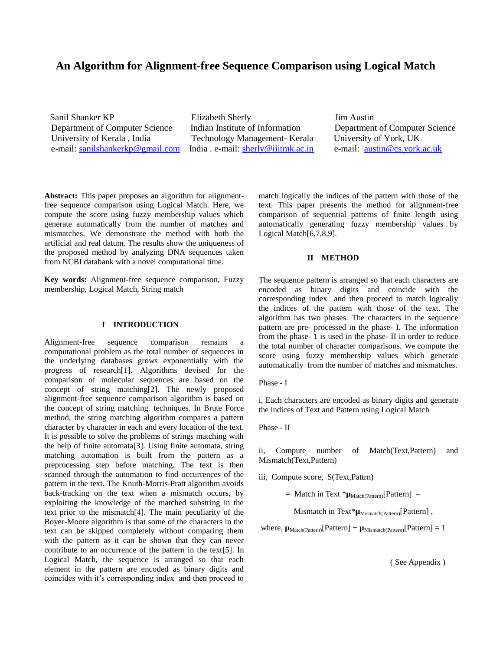# **An Algorithm for Alignment-free Sequence Comparison using Logical Match**

**Sanil Shanker KP** Elizabeth Sherly **Elizabeth Sherly** Jim Austin Department of Computer Science Indian Institute of Information Department of Computer Science University of Kerala , India Technology Management- Kerala University of York, UK e-mail: [sanilshankerkp@gmail.com](mailto:sanilshankerkp@gmail.com) India . e-mail: [sherly@iiitmk.ac.in](mailto:sherly@iiitmk.ac.in) e-mail: [austin@cs.york.ac.uk](mailto:austin@cs.york.ac.uk)

**Abstract:** This paper proposes an algorithm for alignmentfree sequence comparison using Logical Match. Here, we compute the score using fuzzy membership values which generate automatically from the number of matches and mismatches. We demonstrate the method with both the artificial and real datum. The results show the uniqueness of the proposed method by analyzing DNA sequences taken from NCBI databank with a novel computational time.

**Key words:** Alignment-free sequence comparison, Fuzzy membership, Logical Match, String match

#### **I INTRODUCTION**

Alignment-free sequence comparison remains a computational problem as the total number of sequences in the underlying databases grows exponentially with the progress of research[1]. Algorithms devised for the comparison of molecular sequences are based on the concept of string matching[2]. The newly proposed alignment-free sequence comparison algorithm is based on the concept of string matching. techniques. In Brute Force method, the string matching algorithm compares a pattern character by character in each and every location of the text. It is possible to solve the problems of strings matching with the help of finite automata[3]. Using finite automata, string matching automation is built from the pattern as a preprocessing step before matching. The text is then scanned through the automation to find occurrences of the pattern in the text. The Knuth-Morris-Pratt algorithm avoids back-tracking on the text when a mismatch occurs, by exploiting the knowledge of the matched substring in the text prior to the mismatch[4]. The main peculiarity of the Boyer-Moore algorithm is that some of the characters in the text can be skipped completely without comparing them with the pattern as it can be shown that they can never contribute to an occurrence of the pattern in the text[5]. In Logical Match, the sequence is arranged so that each element in the pattern are encoded as binary digits and coincides with it's corresponding index and then proceed to

match logically the indices of the pattern with those of the text. This paper presents the method for alignment-free comparison of sequential patterns of finite length using automatically generating fuzzy membership values by Logical Match[6,7,8,9].

## **II METHOD**

The sequence pattern is arranged so that each characters are encoded as binary digits and coincide with the corresponding index and then proceed to match logically the indices of the pattern with those of the text. The algorithm has two phases. The characters in the sequence pattern are pre- processed in the phase- I. The information from the phase- 1 is used in the phase- II in order to reduce the total number of character comparisons. We compute the score using fuzzy membership values which generate automatically from the number of matches and mismatches.

Phase - I

i, Each characters are encoded as binary digits and generate the indices of Text and Pattern using Logical Match

Phase - II

ii, Compute number of Match(Text,Pattern) and Mismatch(Text,Pattern)

iii, Compute score, S(Text,Pattrn)

 $=$  Match in Text  $*_{\mu_{\text{Match(Patten)}}}[P_{\text{attention}}]$  –

Mismatch in Text\* $\mu_{\text{Mismatch(Pattern)}}$ [Pattern],

where,  $\mu_{Match(Patten)}[Pattern] + \mu_{Mismatch(Patten)}[Pattern] = 1$ 

( See Appendix )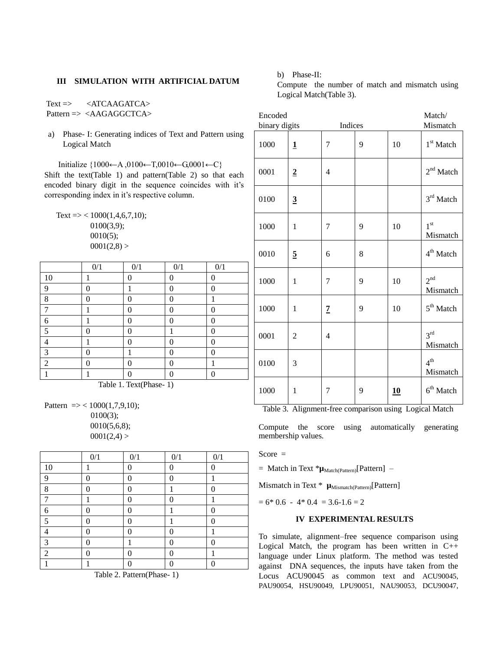## **III SIMULATION WITH ARTIFICIAL DATUM**

Text => <ATCAAGATCA> Pattern => <AAGAGGCTCA>

a) Phase- I: Generating indices of Text and Pattern using Logical Match

Initialize {1000←A ,0100←T,0010←G,0001←C} Shift the text(Table 1) and pattern(Table 2) so that each encoded binary digit in the sequence coincides with it's corresponding index in it's respective column.

Text => <  $1000(1,4,6,7,10)$ ; 0100(3,9); 0010(5);  $0001(2,8) >$ 

|                | $0/1$ | $0/1$    | 0/1 | 0/1 |
|----------------|-------|----------|-----|-----|
| 10             |       | $\theta$ | ∩   | 0   |
| 9              | 0     |          | 0   | 0   |
| 8              | 0     | 0        | 0   |     |
| 7              |       | 0        | 0   | 0   |
| 6              |       | 0        | 0   | 0   |
| 5              | 0     | 0        |     | 0   |
|                |       | 0        | 0   | 0   |
| 3              | 0     |          | 0   | 0   |
| $\overline{2}$ | 0     | 0        | 0   |     |
|                |       | Λ        | ∩   | ∩   |

Table 1. Text(Phase- 1)

Pattern  $\Rightarrow$  < 1000(1,7,9,10); 0100(3); 0010(5,6,8);  $0001(2,4) >$ 

|    | 0/1      | 0/1            | 0/1 | 0/1      |
|----|----------|----------------|-----|----------|
| 10 |          | 0              | 0   | 0        |
| 9  | 0        | 0              | 0   |          |
| 8  | $\theta$ | $\theta$       |     | $\theta$ |
| 7  |          | 0              | 0   |          |
| 6  | 0        | 0              |     | 0        |
| 5  | 0        | $\overline{0}$ |     | 0        |
| 4  | 0        | 0              | 0   |          |
| 3  | $\theta$ |                | 0   | 0        |
| 2  | 0        | 0              | 0   | 1        |
|    |          | 0              | 0   | 0        |

Table 2. Pattern(Phase- 1)

b) Phase-II:

Compute the number of match and mismatch using Logical Match(Table 3).

| Encoded       |                         |                |   |    | Match/                      |
|---------------|-------------------------|----------------|---|----|-----------------------------|
| binary digits |                         | Indices        |   |    | Mismatch                    |
| 1000          | $\overline{\mathbf{1}}$ | 7              | 9 | 10 | 1 <sup>st</sup> Match       |
| 0001          | $\overline{2}$          | 4              |   |    | $2nd$ Match                 |
| 0100          | $\overline{3}$          |                |   |    | $3^{\rm rd}$ Match          |
| 1000          | $\mathbf{1}$            | 7              | 9 | 10 | 1 <sup>st</sup><br>Mismatch |
| 0010          | $\overline{5}$          | 6              | 8 |    | 4 <sup>th</sup> Match       |
| 1000          | $\mathbf{1}$            | $\overline{7}$ | 9 | 10 | 2 <sup>nd</sup><br>Mismatch |
| 1000          | $\mathbf{1}$            | $\overline{z}$ | 9 | 10 | 5 <sup>th</sup> Match       |
| 0001          | $\overline{c}$          | 4              |   |    | 3 <sup>rd</sup><br>Mismatch |
| 0100          | 3                       |                |   |    | 4 <sup>th</sup><br>Mismatch |
| 1000          | 1                       | 7              | 9 | 10 | $6th$ Match                 |

Table 3. Alignment-free comparison using Logical Match

Compute the score using automatically generating membership values.

 $Score =$ 

 $=$  Match in Text  $*\mu_{\text{Match(Patten)}}$ [Pattern] –

Mismatch in Text \*  $\mu_{\text{Mismatch(Patten)}}$ [Pattern]

 $= 6* 0.6 - 4* 0.4 = 3.6-1.6 = 2$ 

### **IV EXPERIMENTAL RESULTS**

To simulate, alignment–free sequence comparison using Logical Match, the program has been written in C++ language under Linux platform. The method was tested against DNA sequences, the inputs have taken from the Locus ACU90045 as common text and ACU90045, PAU90054, HSU90049, LPU90051, NAU90053, DCU90047,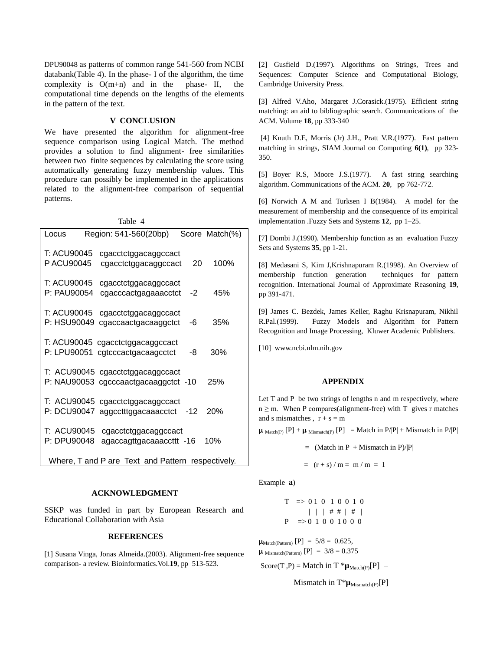DPU90048 as patterns of common range 541-560 from NCBI databank(Table 4). In the phase- I of the algorithm, the time complexity is  $O(m+n)$  and in the phase- II, the computational time depends on the lengths of the elements in the pattern of the text.

#### **V CONCLUSION**

We have presented the algorithm for alignment-free sequence comparison using Logical Match. The method provides a solution to find alignment- free similarities between two finite sequences by calculating the score using automatically generating fuzzy membership values. This procedure can possibly be implemented in the applications related to the alignment-free comparison of sequential patterns.

Table 4

| Locus                             | Region: 541-560(20bp)                                                    |     | Score Match(%) |
|-----------------------------------|--------------------------------------------------------------------------|-----|----------------|
| T: ACU90045<br>P ACU90045         | cgacctctggacaggccact<br>cgacctctggacaggccact                             | 20  | 100%           |
| T: ACU90045<br>P: PAU90054        | cgacctctggacaggccact<br>cgacccactgagaaacctct                             | -2  | 45%            |
| <b>T: ACU90045</b><br>P: HSU90049 | cgacctctggacaggccact<br>cgaccaactgacaaggctct                             | -6  | 35%            |
| P: LPU90051                       | T: ACU90045 cgacctctggacaggccact<br>cgtcccactgacaagcctct                 | -8  | 30%            |
|                                   | T: ACU90045 cgacctctggacaggccact<br>P: NAU90053 cgcccaactgacaaggctct -10 |     | 25%            |
|                                   | T: ACU90045 cgacctctggacaggccact<br>P: DCU90047 aggcctttggacaaacctct     | -12 | <b>20%</b>     |
| T: ACU90045<br>P: DPU90048        | cgacctctggacaggccact<br>agaccagttgacaaaccttt -16                         |     | 10%            |

Where, T and P are Text and Pattern respectively.

#### **ACKNOWLEDGMENT**

SSKP was funded in part by European Research and Educational Collaboration with Asia

#### **REFERENCES**

[1] Susana Vinga, Jonas Almeida.(2003). Alignment-free sequence comparison- a review. Bioinformatics.Vol.**19**, pp 513-523.

[2] Gusfield D.(1997). Algorithms on Strings, Trees and Sequences: Computer Science and Computational Biology, Cambridge University Press.

[3] Alfred V.Aho, Margaret J.Corasick.(1975). Efficient string matching: an aid to bibliographic search. Communications of the ACM. Volume **18**, pp 333-340

[4] Knuth D.E, Morris (Jr) J.H., Pratt V.R.(1977). Fast pattern matching in strings, SIAM Journal on Computing **6(1)**, pp 323- 350.

[5] Boyer R.S, Moore J.S.(1977). A fast string searching algorithm. Communications of the ACM. **20**, pp 762-772.

[6] Norwich A M and Turksen I B(1984). A model for the measurement of membership and the consequence of its empirical implementation .Fuzzy Sets and Systems **12**, pp 1–25.

[7] Dombi J.(1990). Membership function as an evaluation Fuzzy Sets and Systems **35**, pp 1-21.

[8] Medasani S, Kim J,Krishnapuram R.(1998). An Overview of membership function generation techniques for pattern recognition. International Journal of Approximate Reasoning **19**, pp 391-471.

[9] James C. Bezdek, James Keller, Raghu Krisnapuram, Nikhil R.Pal.(1999). Fuzzy Models and Algorithm for Pattern Recognition and Image Processing, Kluwer Academic Publishers.

[10] www.ncbi.nlm.nih.gov

#### **APPENDIX**

Let T and P be two strings of lengths n and m respectively, where  $n \ge m$ . When P compares(alignment-free) with T gives r matches and s mismatches ,  $r + s = m$ 

 $\mu_{\text{Match}(P)} [P] + \mu_{\text{Mismatch}(P)} [P] = \text{Match in } P/|P| + \text{Mismatch in } P/|P|$ 

 $=$  (Match in P + Mismatch in P)/|P|

$$
= (r + s) / m = m / m = 1
$$

Example **a**)

$$
T \Rightarrow 01010010
$$
  
 
$$
| \ | \ # # \ | #
$$
  
 
$$
P \Rightarrow 01001000
$$

 $\mu_{Match(Patten)} [P] = 5/8 = 0.625,$  $\mu$  Mismatch(Pattern) [P] = 3/8 = 0.375

Score(T,P) = Match in T  $^* \mu_{Match(P)}[P]$  –

Mismatch in  $T^* \mu_{\text{Mismatch}(P)}[P]$